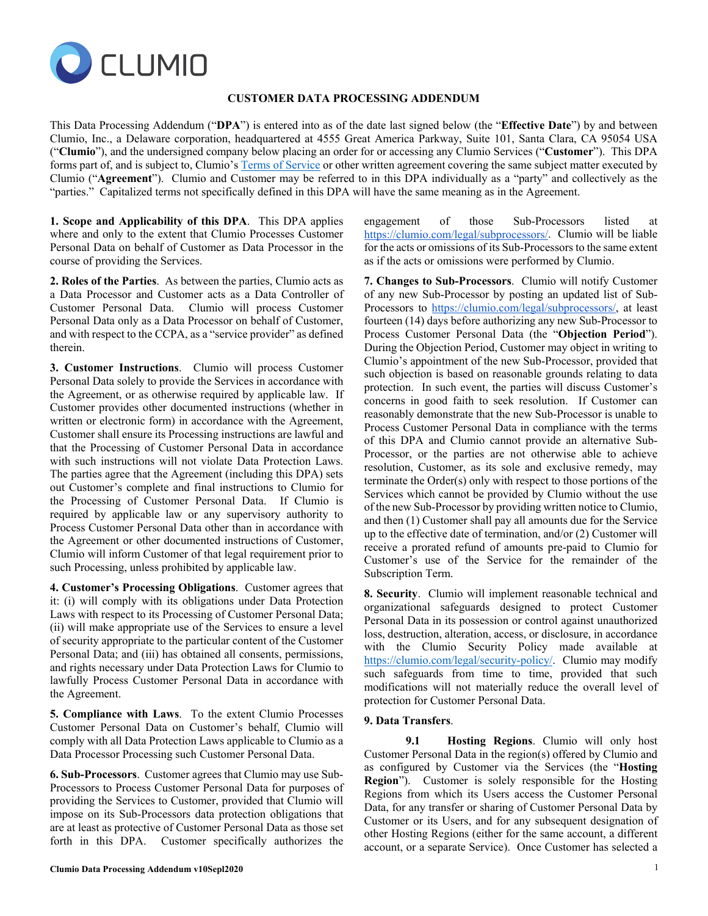

## **CUSTOMER DATA PROCESSING ADDENDUM**

This Data Processing Addendum ("**DPA**") is entered into as of the date last signed below (the "**Effective Date**") by and between Clumio, Inc., a Delaware corporation, headquartered at 4555 Great America Parkway, Suite 101, Santa Clara, CA 95054 USA ("**Clumio**"), and the undersigned company below placing an order for or accessing any Clumio Services ("**Customer**"). This DPA forms part of, and is subject to, Clumio'[s Terms of Service](https://clumio.com/terms-of-service/) or other written agreement covering the same subject matter executed by Clumio ("**Agreement**"). Clumio and Customer may be referred to in this DPA individually as a "party" and collectively as the "parties." Capitalized terms not specifically defined in this DPA will have the same meaning as in the Agreement.

**1. Scope and Applicability of this DPA**. This DPA applies where and only to the extent that Clumio Processes Customer Personal Data on behalf of Customer as Data Processor in the course of providing the Services.

**2. Roles of the Parties**. As between the parties, Clumio acts as a Data Processor and Customer acts as a Data Controller of Customer Personal Data. Clumio will process Customer Personal Data only as a Data Processor on behalf of Customer, and with respect to the CCPA, as a "service provider" as defined therein.

**3. Customer Instructions**. Clumio will process Customer Personal Data solely to provide the Services in accordance with the Agreement, or as otherwise required by applicable law. If Customer provides other documented instructions (whether in written or electronic form) in accordance with the Agreement, Customer shall ensure its Processing instructions are lawful and that the Processing of Customer Personal Data in accordance with such instructions will not violate Data Protection Laws. The parties agree that the Agreement (including this DPA) sets out Customer's complete and final instructions to Clumio for the Processing of Customer Personal Data. If Clumio is required by applicable law or any supervisory authority to Process Customer Personal Data other than in accordance with the Agreement or other documented instructions of Customer, Clumio will inform Customer of that legal requirement prior to such Processing, unless prohibited by applicable law.

**4. Customer's Processing Obligations**. Customer agrees that it: (i) will comply with its obligations under Data Protection Laws with respect to its Processing of Customer Personal Data; (ii) will make appropriate use of the Services to ensure a level of security appropriate to the particular content of the Customer Personal Data; and (iii) has obtained all consents, permissions, and rights necessary under Data Protection Laws for Clumio to lawfully Process Customer Personal Data in accordance with the Agreement.

**5. Compliance with Laws**. To the extent Clumio Processes Customer Personal Data on Customer's behalf, Clumio will comply with all Data Protection Laws applicable to Clumio as a Data Processor Processing such Customer Personal Data.

**6. Sub-Processors**. Customer agrees that Clumio may use Sub-Processors to Process Customer Personal Data for purposes of providing the Services to Customer, provided that Clumio will impose on its Sub-Processors data protection obligations that are at least as protective of Customer Personal Data as those set forth in this DPA. Customer specifically authorizes the

engagement of those Sub-Processors listed at [https://clumio.com/legal/subprocessors/.](https://clumio.com/legal/subprocessors/) Clumio will be liable for the acts or omissions of its Sub-Processors to the same extent as if the acts or omissions were performed by Clumio.

**7. Changes to Sub-Processors**. Clumio will notify Customer of any new Sub-Processor by posting an updated list of Sub-Processors to [https://clumio.com/legal/subprocessors/,](https://clumio.com/legal/subprocessors/) at least fourteen (14) days before authorizing any new Sub-Processor to Process Customer Personal Data (the "**Objection Period**"). During the Objection Period, Customer may object in writing to Clumio's appointment of the new Sub-Processor, provided that such objection is based on reasonable grounds relating to data protection. In such event, the parties will discuss Customer's concerns in good faith to seek resolution. If Customer can reasonably demonstrate that the new Sub-Processor is unable to Process Customer Personal Data in compliance with the terms of this DPA and Clumio cannot provide an alternative Sub-Processor, or the parties are not otherwise able to achieve resolution, Customer, as its sole and exclusive remedy, may terminate the Order(s) only with respect to those portions of the Services which cannot be provided by Clumio without the use of the new Sub-Processor by providing written notice to Clumio, and then (1) Customer shall pay all amounts due for the Service up to the effective date of termination, and/or (2) Customer will receive a prorated refund of amounts pre-paid to Clumio for Customer's use of the Service for the remainder of the Subscription Term.

**8. Security**. Clumio will implement reasonable technical and organizational safeguards designed to protect Customer Personal Data in its possession or control against unauthorized loss, destruction, alteration, access, or disclosure, in accordance with the Clumio Security Policy made available at [https://clumio.com/legal/security-policy/.](https://clumio.com/legal/security-policy/) Clumio may modify such safeguards from time to time, provided that such modifications will not materially reduce the overall level of protection for Customer Personal Data.

### **9. Data Transfers**.

**9.1 Hosting Regions**. Clumio will only host Customer Personal Data in the region(s) offered by Clumio and as configured by Customer via the Services (the "**Hosting Region**"). Customer is solely responsible for the Hosting Regions from which its Users access the Customer Personal Data, for any transfer or sharing of Customer Personal Data by Customer or its Users, and for any subsequent designation of other Hosting Regions (either for the same account, a different account, or a separate Service). Once Customer has selected a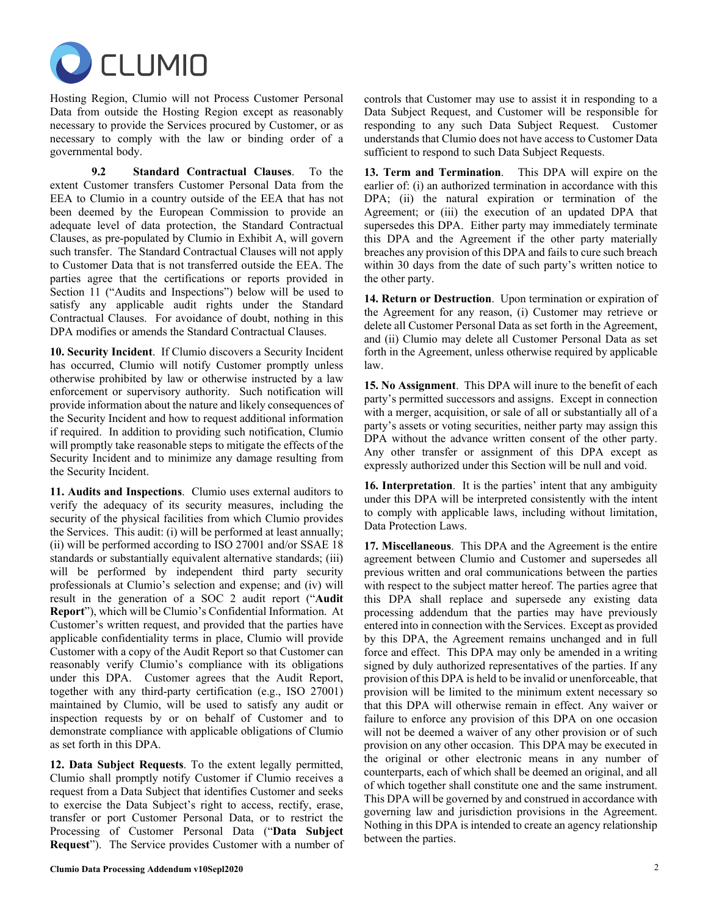

Hosting Region, Clumio will not Process Customer Personal Data from outside the Hosting Region except as reasonably necessary to provide the Services procured by Customer, or as necessary to comply with the law or binding order of a governmental body.

**9.2 Standard Contractual Clauses**. To the extent Customer transfers Customer Personal Data from the EEA to Clumio in a country outside of the EEA that has not been deemed by the European Commission to provide an adequate level of data protection, the Standard Contractual Clauses, as pre-populated by Clumio in Exhibit A, will govern such transfer. The Standard Contractual Clauses will not apply to Customer Data that is not transferred outside the EEA. The parties agree that the certifications or reports provided in Section 11 ("Audits and Inspections") below will be used to satisfy any applicable audit rights under the Standard Contractual Clauses. For avoidance of doubt, nothing in this DPA modifies or amends the Standard Contractual Clauses.

**10. Security Incident**. If Clumio discovers a Security Incident has occurred, Clumio will notify Customer promptly unless otherwise prohibited by law or otherwise instructed by a law enforcement or supervisory authority. Such notification will provide information about the nature and likely consequences of the Security Incident and how to request additional information if required. In addition to providing such notification, Clumio will promptly take reasonable steps to mitigate the effects of the Security Incident and to minimize any damage resulting from the Security Incident.

**11. Audits and Inspections**. Clumio uses external auditors to verify the adequacy of its security measures, including the security of the physical facilities from which Clumio provides the Services. This audit: (i) will be performed at least annually; (ii) will be performed according to ISO 27001 and/or SSAE 18 standards or substantially equivalent alternative standards; (iii) will be performed by independent third party security professionals at Clumio's selection and expense; and (iv) will result in the generation of a SOC 2 audit report ("**Audit Report**"), which will be Clumio's Confidential Information. At Customer's written request, and provided that the parties have applicable confidentiality terms in place, Clumio will provide Customer with a copy of the Audit Report so that Customer can reasonably verify Clumio's compliance with its obligations under this DPA. Customer agrees that the Audit Report, together with any third-party certification (e.g., ISO 27001) maintained by Clumio, will be used to satisfy any audit or inspection requests by or on behalf of Customer and to demonstrate compliance with applicable obligations of Clumio as set forth in this DPA.

**12. Data Subject Requests**. To the extent legally permitted, Clumio shall promptly notify Customer if Clumio receives a request from a Data Subject that identifies Customer and seeks to exercise the Data Subject's right to access, rectify, erase, transfer or port Customer Personal Data, or to restrict the Processing of Customer Personal Data ("**Data Subject Request**"). The Service provides Customer with a number of controls that Customer may use to assist it in responding to a Data Subject Request, and Customer will be responsible for responding to any such Data Subject Request. Customer understands that Clumio does not have access to Customer Data sufficient to respond to such Data Subject Requests.

**13. Term and Termination**. This DPA will expire on the earlier of: (i) an authorized termination in accordance with this DPA; (ii) the natural expiration or termination of the Agreement; or (iii) the execution of an updated DPA that supersedes this DPA. Either party may immediately terminate this DPA and the Agreement if the other party materially breaches any provision of this DPA and fails to cure such breach within 30 days from the date of such party's written notice to the other party.

**14. Return or Destruction**. Upon termination or expiration of the Agreement for any reason, (i) Customer may retrieve or delete all Customer Personal Data as set forth in the Agreement, and (ii) Clumio may delete all Customer Personal Data as set forth in the Agreement, unless otherwise required by applicable law.

**15. No Assignment**. This DPA will inure to the benefit of each party's permitted successors and assigns. Except in connection with a merger, acquisition, or sale of all or substantially all of a party's assets or voting securities, neither party may assign this DPA without the advance written consent of the other party. Any other transfer or assignment of this DPA except as expressly authorized under this Section will be null and void.

**16. Interpretation**. It is the parties' intent that any ambiguity under this DPA will be interpreted consistently with the intent to comply with applicable laws, including without limitation, Data Protection Laws.

**17. Miscellaneous**. This DPA and the Agreement is the entire agreement between Clumio and Customer and supersedes all previous written and oral communications between the parties with respect to the subject matter hereof. The parties agree that this DPA shall replace and supersede any existing data processing addendum that the parties may have previously entered into in connection with the Services. Except as provided by this DPA, the Agreement remains unchanged and in full force and effect. This DPA may only be amended in a writing signed by duly authorized representatives of the parties. If any provision of this DPA is held to be invalid or unenforceable, that provision will be limited to the minimum extent necessary so that this DPA will otherwise remain in effect. Any waiver or failure to enforce any provision of this DPA on one occasion will not be deemed a waiver of any other provision or of such provision on any other occasion. This DPA may be executed in the original or other electronic means in any number of counterparts, each of which shall be deemed an original, and all of which together shall constitute one and the same instrument. This DPA will be governed by and construed in accordance with governing law and jurisdiction provisions in the Agreement. Nothing in this DPA is intended to create an agency relationship between the parties.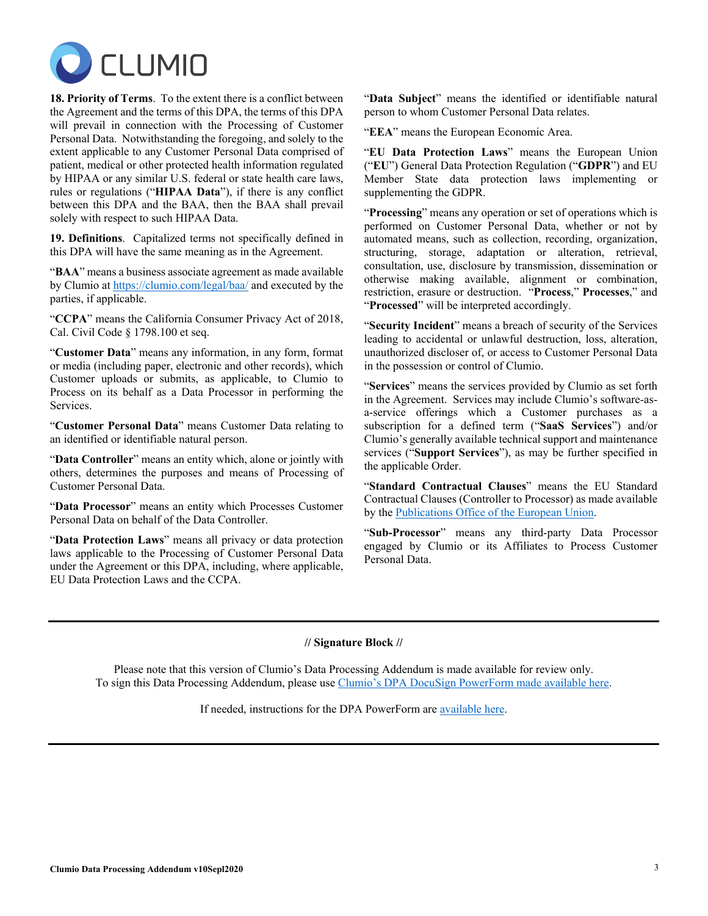

**18. Priority of Terms**. To the extent there is a conflict between the Agreement and the terms of this DPA, the terms of this DPA will prevail in connection with the Processing of Customer Personal Data. Notwithstanding the foregoing, and solely to the extent applicable to any Customer Personal Data comprised of patient, medical or other protected health information regulated by HIPAA or any similar U.S. federal or state health care laws, rules or regulations ("**HIPAA Data**"), if there is any conflict between this DPA and the BAA, then the BAA shall prevail solely with respect to such HIPAA Data.

**19. Definitions**. Capitalized terms not specifically defined in this DPA will have the same meaning as in the Agreement.

"**BAA**" means a business associate agreement as made available by Clumio at <https://clumio.com/legal/baa/> and executed by the parties, if applicable.

"**CCPA**" means the California Consumer Privacy Act of 2018, Cal. Civil Code § 1798.100 et seq.

"**Customer Data**" means any information, in any form, format or media (including paper, electronic and other records), which Customer uploads or submits, as applicable, to Clumio to Process on its behalf as a Data Processor in performing the Services.

"**Customer Personal Data**" means Customer Data relating to an identified or identifiable natural person.

"**Data Controller**" means an entity which, alone or jointly with others, determines the purposes and means of Processing of Customer Personal Data.

"**Data Processor**" means an entity which Processes Customer Personal Data on behalf of the Data Controller.

"**Data Protection Laws**" means all privacy or data protection laws applicable to the Processing of Customer Personal Data under the Agreement or this DPA, including, where applicable, EU Data Protection Laws and the CCPA.

"**Data Subject**" means the identified or identifiable natural person to whom Customer Personal Data relates.

"**EEA**" means the European Economic Area.

"**EU Data Protection Laws**" means the European Union ("**EU**") General Data Protection Regulation ("**GDPR**") and EU Member State data protection laws implementing or supplementing the GDPR.

"**Processing**" means any operation or set of operations which is performed on Customer Personal Data, whether or not by automated means, such as collection, recording, organization, structuring, storage, adaptation or alteration, retrieval, consultation, use, disclosure by transmission, dissemination or otherwise making available, alignment or combination, restriction, erasure or destruction. "**Process**," **Processes**," and "**Processed**" will be interpreted accordingly.

"**Security Incident**" means a breach of security of the Services leading to accidental or unlawful destruction, loss, alteration, unauthorized discloser of, or access to Customer Personal Data in the possession or control of Clumio.

"**Services**" means the services provided by Clumio as set forth in the Agreement. Services may include Clumio's software-asa-service offerings which a Customer purchases as a subscription for a defined term ("**SaaS Services**") and/or Clumio's generally available technical support and maintenance services ("**Support Services**"), as may be further specified in the applicable Order.

"**Standard Contractual Clauses**" means the EU Standard Contractual Clauses (Controller to Processor) as made available by the [Publications Office of the European Union.](https://eur-lex.europa.eu/legal-content/en/TXT/?uri=CELEX%3A32010D0087)

"**Sub-Processor**" means any third-party Data Processor engaged by Clumio or its Affiliates to Process Customer Personal Data.

# **// Signature Block //**

Please note that this version of Clumio's Data Processing Addendum is made available for review only. To sign this Data Processing Addendum, please use [Clumio's DPA DocuSign PowerForm made available here.](https://na3.docusign.net/Member/PowerFormSigning.aspx?PowerFormId=8631a12c-1233-4f39-9383-bdff781564a7&env=na3&acct=0a6364de-1f27-41e9-bf13-aad2be73b3e1&v=2)

If needed, instructions for the DPA PowerForm ar[e available here.](https://clumio.com/legal/powerform-instructions/)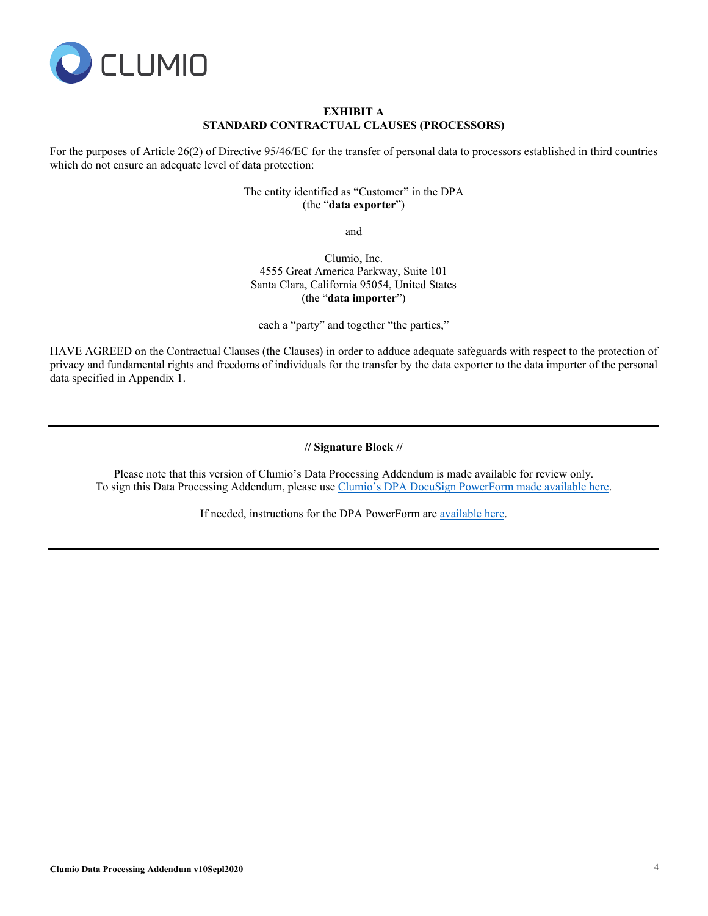

## **EXHIBIT A STANDARD CONTRACTUAL CLAUSES (PROCESSORS)**

For the purposes of Article 26(2) of Directive 95/46/EC for the transfer of personal data to processors established in third countries which do not ensure an adequate level of data protection:

> The entity identified as "Customer" in the DPA (the "**data exporter**")

> > and

Clumio, Inc. 4555 Great America Parkway, Suite 101 Santa Clara, California 95054, United States (the "**data importer**")

each a "party" and together "the parties,"

HAVE AGREED on the Contractual Clauses (the Clauses) in order to adduce adequate safeguards with respect to the protection of privacy and fundamental rights and freedoms of individuals for the transfer by the data exporter to the data importer of the personal data specified in Appendix 1.

**// Signature Block //**

Please note that this version of Clumio's Data Processing Addendum is made available for review only. To sign this Data Processing Addendum, please use [Clumio's DPA DocuSign PowerForm made available here.](https://na3.docusign.net/Member/PowerFormSigning.aspx?PowerFormId=8631a12c-1233-4f39-9383-bdff781564a7&env=na3&acct=0a6364de-1f27-41e9-bf13-aad2be73b3e1&v=2)

If needed, instructions for the DPA PowerForm ar[e available here.](https://clumio.com/legal/powerform-instructions/)